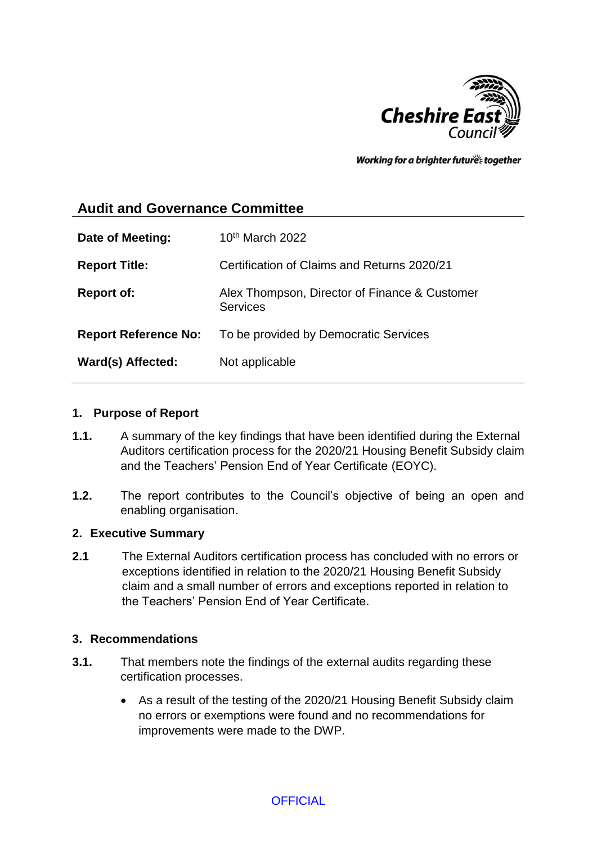

Working for a brighter future together

# **Audit and Governance Committee**

| Date of Meeting:            | $10th$ March 2022                                                |
|-----------------------------|------------------------------------------------------------------|
| <b>Report Title:</b>        | Certification of Claims and Returns 2020/21                      |
| <b>Report of:</b>           | Alex Thompson, Director of Finance & Customer<br><b>Services</b> |
| <b>Report Reference No:</b> | To be provided by Democratic Services                            |
| Ward(s) Affected:           | Not applicable                                                   |

#### **1. Purpose of Report**

- **1.1.** A summary of the key findings that have been identified during the External Auditors certification process for the 2020/21 Housing Benefit Subsidy claim and the Teachers' Pension End of Year Certificate (EOYC).
- **1.2.** The report contributes to the Council's objective of being an open and enabling organisation.

### **2. Executive Summary**

**2.1** The External Auditors certification process has concluded with no errors or exceptions identified in relation to the 2020/21 Housing Benefit Subsidy claim and a small number of errors and exceptions reported in relation to the Teachers' Pension End of Year Certificate.

#### **3. Recommendations**

- **3.1.** That members note the findings of the external audits regarding these certification processes.
	- As a result of the testing of the 2020/21 Housing Benefit Subsidy claim no errors or exemptions were found and no recommendations for improvements were made to the DWP.

**OFFICIAL**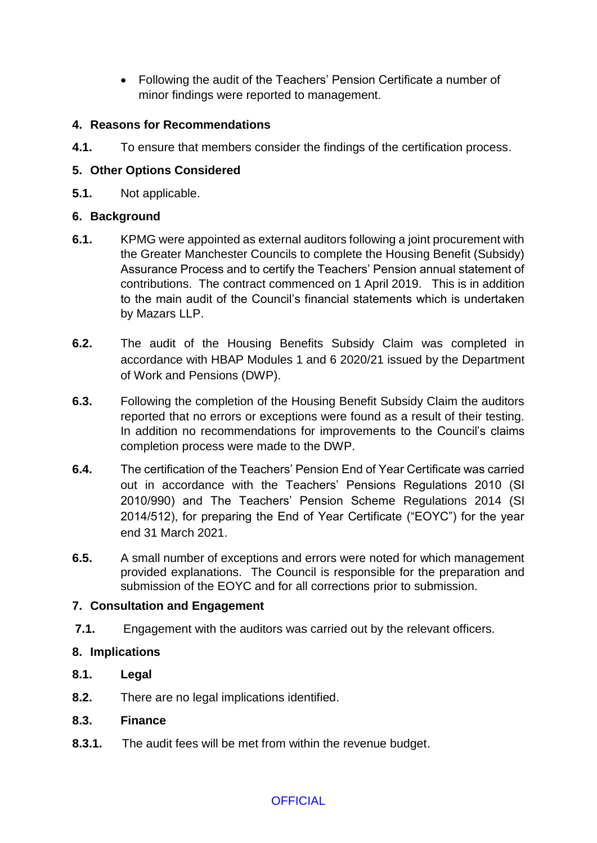Following the audit of the Teachers' Pension Certificate a number of minor findings were reported to management.

## **4. Reasons for Recommendations**

**4.1.** To ensure that members consider the findings of the certification process.

## **5. Other Options Considered**

**5.1.** Not applicable.

### **6. Background**

- **6.1.** KPMG were appointed as external auditors following a joint procurement with the Greater Manchester Councils to complete the Housing Benefit (Subsidy) Assurance Process and to certify the Teachers' Pension annual statement of contributions. The contract commenced on 1 April 2019. This is in addition to the main audit of the Council's financial statements which is undertaken by Mazars LLP.
- **6.2.** The audit of the Housing Benefits Subsidy Claim was completed in accordance with HBAP Modules 1 and 6 2020/21 issued by the Department of Work and Pensions (DWP).
- **6.3.** Following the completion of the Housing Benefit Subsidy Claim the auditors reported that no errors or exceptions were found as a result of their testing. In addition no recommendations for improvements to the Council's claims completion process were made to the DWP.
- **6.4.** The certification of the Teachers' Pension End of Year Certificate was carried out in accordance with the Teachers' Pensions Regulations 2010 (SI 2010/990) and The Teachers' Pension Scheme Regulations 2014 (SI 2014/512), for preparing the End of Year Certificate ("EOYC") for the year end 31 March 2021.
- **6.5.** A small number of exceptions and errors were noted for which management provided explanations. The Council is responsible for the preparation and submission of the EOYC and for all corrections prior to submission.

### **7. Consultation and Engagement**

**7.1.** Engagement with the auditors was carried out by the relevant officers.

### **8. Implications**

- **8.1. Legal**
- **8.2.** There are no legal implications identified.

#### **8.3. Finance**

**8.3.1.** The audit fees will be met from within the revenue budget.

### **OFFICIAL**